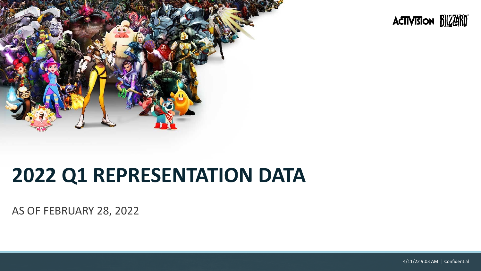



# **2022 Q1 REPRESENTATION DATA**

AS OF FEBRUARY 28, 2022

4/11/22 9:03 AM | Confidential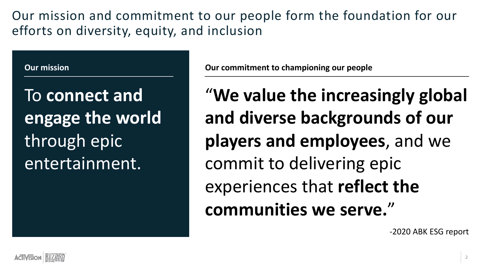Our mission and commitment to our people form the foundation for our efforts on diversity, equity, and inclusion

#### **Our mission**

To **connect and engage the world**  through epic entertainment.

**Our commitment to championing our people**

"**We value the increasingly global and diverse backgrounds of our players and employees**, and we commit to delivering epic experiences that **reflect the communities we serve.**"

-2020 ABK ESG report

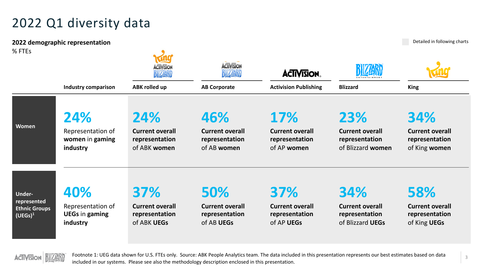#### 2022 Q1 diversity data

Detailed in following charts **2022 demographic representation** % FTEs **ACIIVISION ACTIVISION ACTIVISION BILLISH** DILLEN **Industry comparison Activision Publishing ABK rolled up AB Corporate Blizzard King 24% 24% 17% 23% 46% 34% Women** Representation of **Current overall Current overall Current overall Current overall Current overall women** in **gaming representation representation representation representation representation** of ABK **women** of AB **women** of AP **women** of Blizzard **women** of King **women industry 40% 37% 50% 37% 34% 58% Underrepresented**  Representation of **Current overall Current overall Current overall Current overall Current overall Ethnic Groups UEGs** in **gaming representation representation representation representation representation (UEGs)1 industry** of ABK **UEGs** of AB **UEGs** of AP **UEGs** of Blizzard **UEGs** of King **UEGs**



Footnote 1: UEG data shown for U.S. FTEs only. Source: ABK People Analytics team. The data included in this presentation represents our best estimates based on data included in our systems. Please see also the methodology description enclosed in this presentation.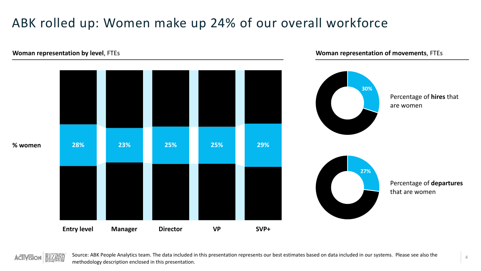## ABK rolled up: Women make up 24% of our overall workforce

# **30%** Percentage of **hires** that are women **Woman representation by level**, FTEs **% women Entry level Manager Director VP SVP+** Percentage of **departures** that are women **27% 28% 23% 25% 25% 29%**

#### **Woman representation of movements**, FTEs

**ACTIVISION**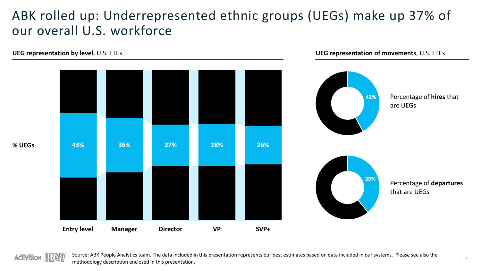#### ABK rolled up: Underrepresented ethnic groups (UEGs) make up 37% of our overall U.S. workforce



Source: ABK People Analytics team. The data included in this presentation represents our best estimates based on data included in our systems. Please see also the methodology description enclosed in this presentation.

5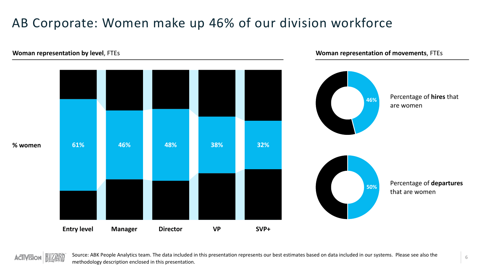## AB Corporate: Women make up 46% of our division workforce



#### **Woman representation of movements**, FTEs

**ACTIVISION**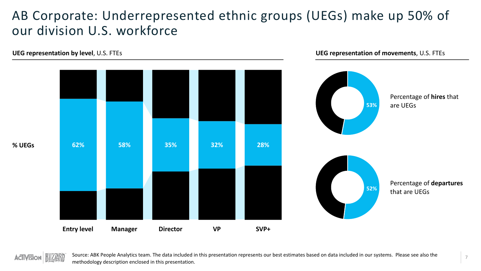#### AB Corporate: Underrepresented ethnic groups (UEGs) make up 50% of our division U.S. workforce

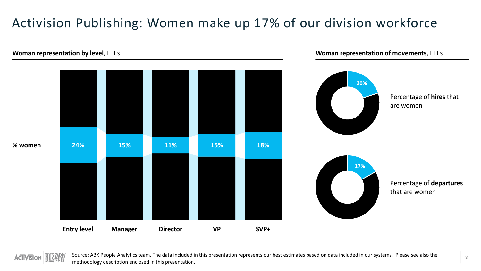## Activision Publishing: Women make up 17% of our division workforce



**Woman representation of movements**, FTEs

**ACTIVISION**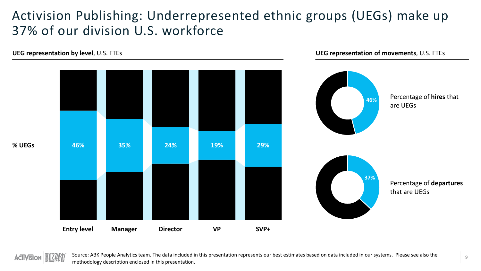#### Activision Publishing: Underrepresented ethnic groups (UEGs) make up 37% of our division U.S. workforce

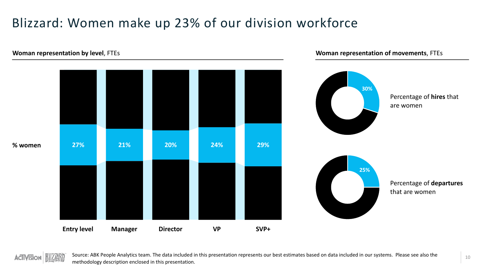## Blizzard: Women make up 23% of our division workforce



#### **Woman representation of movements**, FTEs

**ACTIVISION**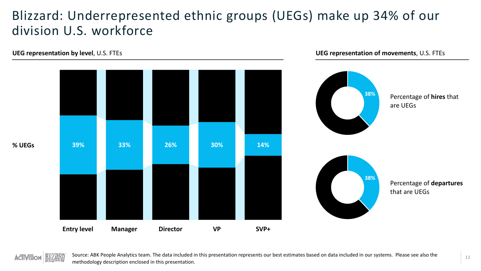#### Blizzard: Underrepresented ethnic groups (UEGs) make up 34% of our division U.S. workforce



**% UEGs**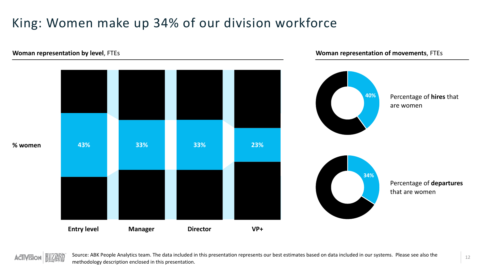## King: Women make up 34% of our division workforce



**Woman representation of movements**, FTEs

**ACTIVISION**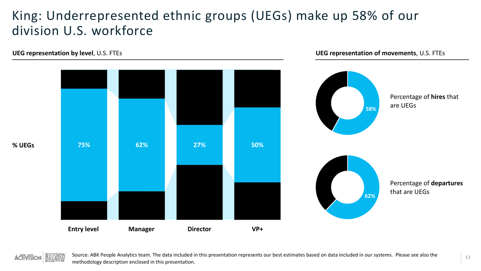#### King: Underrepresented ethnic groups (UEGs) make up 58% of our division U.S. workforce

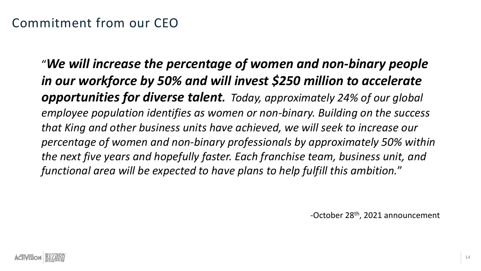"*We will increase the percentage of women and non-binary people in our workforce by 50% and will invest \$250 million to accelerate opportunities for diverse talent. Today, approximately 24% of our global employee population identifies as women or non-binary. Building on the success that King and other business units have achieved, we will seek to increase our percentage of women and non-binary professionals by approximately 50% within the next five years and hopefully faster. Each franchise team, business unit, and functional area will be expected to have plans to help fulfill this ambition.*"

-October 28th, 2021 announcement

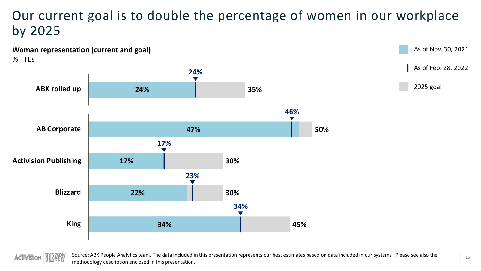#### Our current goal is to double the percentage of women in our workplace by 2025